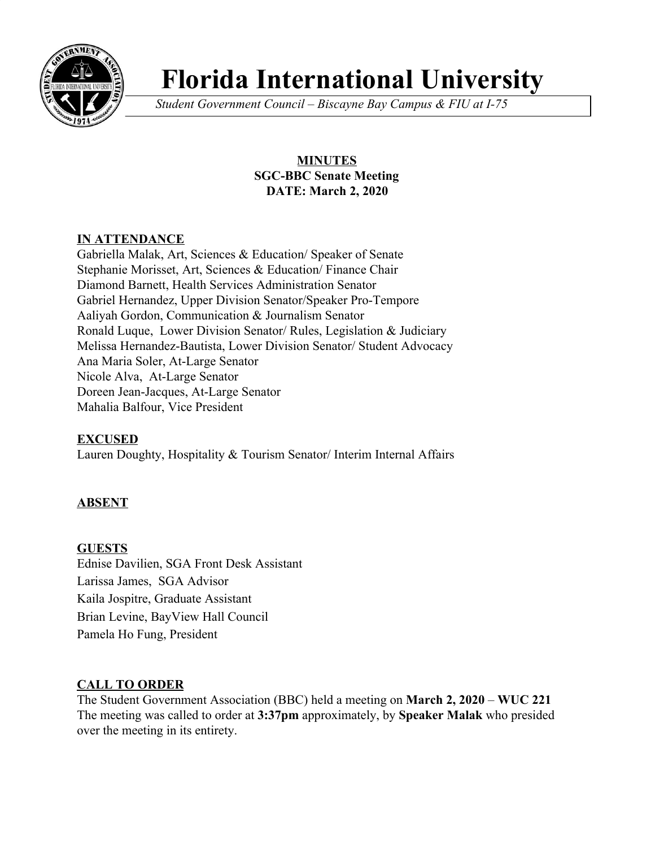

# **Florida International University**

*Student Government Council – Biscayne Bay Campus & FIU at I-75*

# **MINUTES SGC-BBC Senate Meeting DATE: March 2, 2020**

# **IN ATTENDANCE**

Gabriella Malak, Art, Sciences & Education/ Speaker of Senate Stephanie Morisset, Art, Sciences & Education/ Finance Chair Diamond Barnett, Health Services Administration Senator Gabriel Hernandez, Upper Division Senator/Speaker Pro-Tempore Aaliyah Gordon, Communication & Journalism Senator Ronald Luque, Lower Division Senator/ Rules, Legislation & Judiciary Melissa Hernandez-Bautista, Lower Division Senator/ Student Advocacy Ana Maria Soler, At-Large Senator Nicole Alva, At-Large Senator Doreen Jean-Jacques, At-Large Senator Mahalia Balfour, Vice President

# **EXCUSED**

Lauren Doughty, Hospitality & Tourism Senator/ Interim Internal Affairs

# **ABSENT**

**GUESTS** Ednise Davilien, SGA Front Desk Assistant Larissa James, SGA Advisor Kaila Jospitre, Graduate Assistant Brian Levine, BayView Hall Council Pamela Ho Fung, President

# **CALL TO ORDER**

The Student Government Association (BBC) held a meeting on **March 2, 2020** – **WUC 221** The meeting was called to order at **3:37pm** approximately, by **Speaker Malak** who presided over the meeting in its entirety.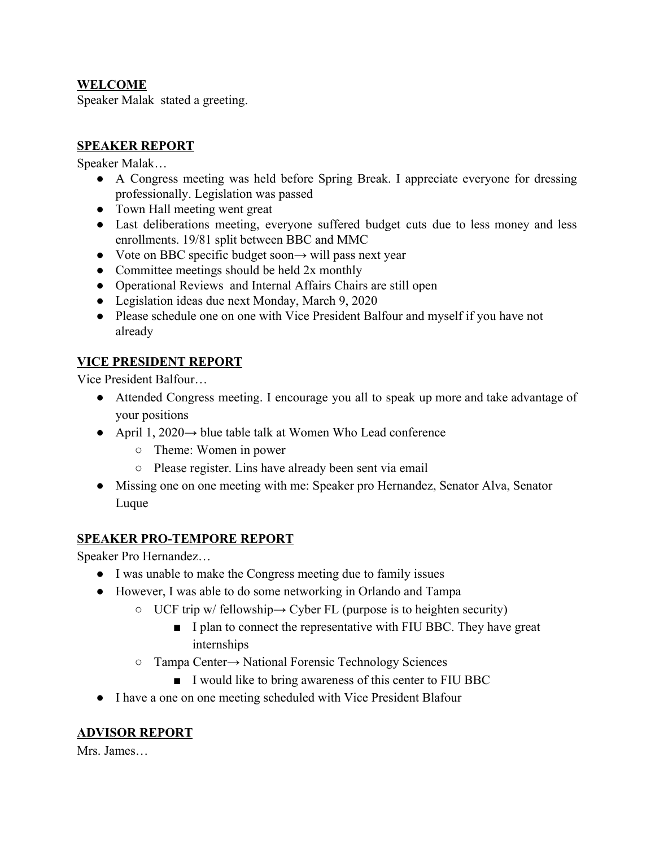#### **WELCOME**

Speaker Malak stated a greeting.

#### **SPEAKER REPORT**

Speaker Malak…

- A Congress meeting was held before Spring Break. I appreciate everyone for dressing professionally. Legislation was passed
- Town Hall meeting went great
- Last deliberations meeting, everyone suffered budget cuts due to less money and less enrollments. 19/81 split between BBC and MMC
- Vote on BBC specific budget soon $\rightarrow$  will pass next year
- Committee meetings should be held 2x monthly
- Operational Reviews and Internal Affairs Chairs are still open
- Legislation ideas due next Monday, March 9, 2020
- Please schedule one on one with Vice President Balfour and myself if you have not already

# **VICE PRESIDENT REPORT**

Vice President Balfour…

- Attended Congress meeting. I encourage you all to speak up more and take advantage of your positions
- April 1, 2020 $\rightarrow$  blue table talk at Women Who Lead conference
	- Theme: Women in power
	- Please register. Lins have already been sent via email
- Missing one on one meeting with me: Speaker pro Hernandez, Senator Alva, Senator Luque

# **SPEAKER PRO-TEMPORE REPORT**

Speaker Pro Hernandez…

- I was unable to make the Congress meeting due to family issues
- However, I was able to do some networking in Orlando and Tampa
	- $\circ$  UCF trip w/ fellowship  $\rightarrow$  Cyber FL (purpose is to heighten security)
		- I plan to connect the representative with FIU BBC. They have great internships
	- Tampa Center→ National Forensic Technology Sciences
		- I would like to bring awareness of this center to FIU BBC
- I have a one on one meeting scheduled with Vice President Blafour

#### **ADVISOR REPORT**

Mrs. James…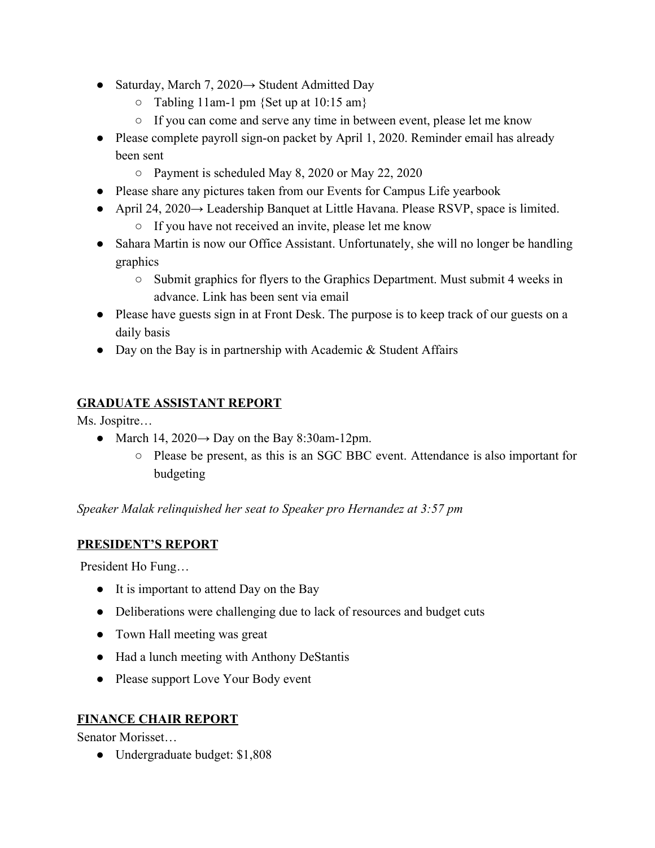- Saturday, March 7, 2020 $\rightarrow$  Student Admitted Day
	- $\circ$  Tabling 11am-1 pm {Set up at 10:15 am}
	- If you can come and serve any time in between event, please let me know
- Please complete payroll sign-on packet by April 1, 2020. Reminder email has already been sent
	- Payment is scheduled May 8, 2020 or May 22, 2020
- Please share any pictures taken from our Events for Campus Life yearbook
- April 24, 2020 $\rightarrow$  Leadership Banquet at Little Havana. Please RSVP, space is limited. ○ If you have not received an invite, please let me know
- Sahara Martin is now our Office Assistant. Unfortunately, she will no longer be handling graphics
	- Submit graphics for flyers to the Graphics Department. Must submit 4 weeks in advance. Link has been sent via email
- Please have guests sign in at Front Desk. The purpose is to keep track of our guests on a daily basis
- Day on the Bay is in partnership with Academic & Student Affairs

# **GRADUATE ASSISTANT REPORT**

Ms. Jospitre…

- March 14,  $2020 \rightarrow$  Day on the Bay 8:30am-12pm.
	- Please be present, as this is an SGC BBC event. Attendance is also important for budgeting

*Speaker Malak relinquished her seat to Speaker pro Hernandez at 3:57 pm*

# **PRESIDENT'S REPORT**

President Ho Fung…

- It is important to attend Day on the Bay
- Deliberations were challenging due to lack of resources and budget cuts
- Town Hall meeting was great
- Had a lunch meeting with Anthony DeStantis
- Please support Love Your Body event

# **FINANCE CHAIR REPORT**

Senator Morisset…

● Undergraduate budget: \$1,808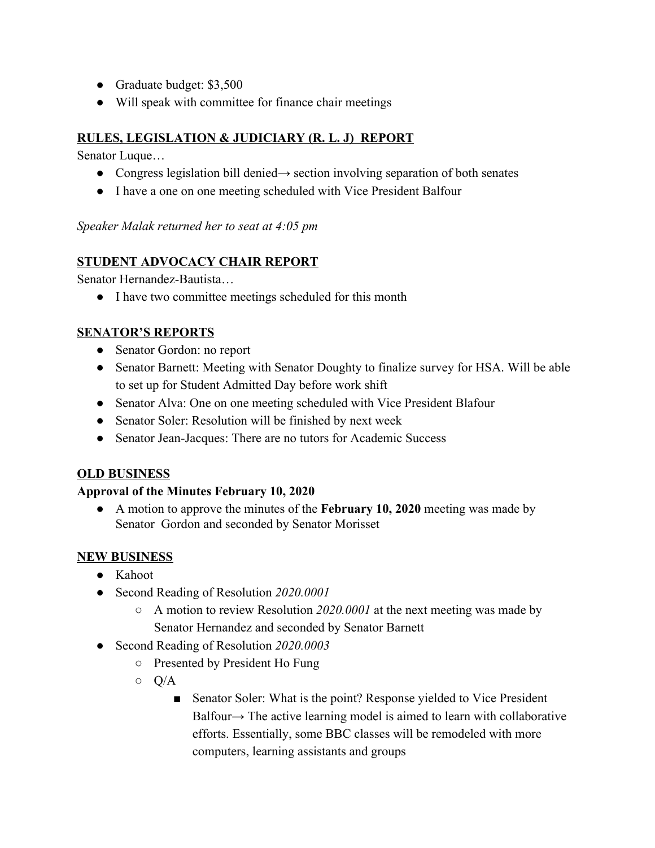- Graduate budget: \$3,500
- Will speak with committee for finance chair meetings

#### **RULES, LEGISLATION & JUDICIARY (R. L. J) REPORT**

Senator Luque…

- Congress legislation bill denied→ section involving separation of both senates
- I have a one on one meeting scheduled with Vice President Balfour

*Speaker Malak returned her to seat at 4:05 pm*

#### **STUDENT ADVOCACY CHAIR REPORT**

Senator Hernandez-Bautista…

● I have two committee meetings scheduled for this month

#### **SENATOR'S REPORTS**

- Senator Gordon: no report
- Senator Barnett: Meeting with Senator Doughty to finalize survey for HSA. Will be able to set up for Student Admitted Day before work shift
- Senator Alva: One on one meeting scheduled with Vice President Blafour
- Senator Soler: Resolution will be finished by next week
- Senator Jean-Jacques: There are no tutors for Academic Success

# **OLD BUSINESS**

#### **Approval of the Minutes February 10, 2020**

● A motion to approve the minutes of the **February 10, 2020** meeting was made by Senator Gordon and seconded by Senator Morisset

# **NEW BUSINESS**

- Kahoot
- Second Reading of Resolution *2020.0001*
	- A motion to review Resolution *2020.0001* at the next meeting was made by Senator Hernandez and seconded by Senator Barnett
- Second Reading of Resolution *2020.0003*
	- Presented by President Ho Fung
	- $\circ$  Q/A
		- Senator Soler: What is the point? Response yielded to Vice President Balfour→ The active learning model is aimed to learn with collaborative efforts. Essentially, some BBC classes will be remodeled with more computers, learning assistants and groups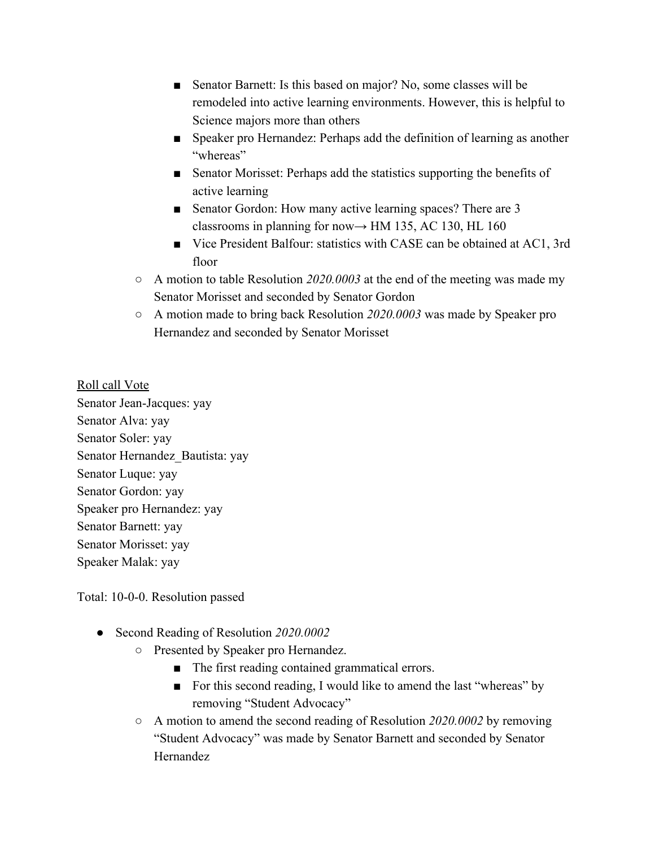- Senator Barnett: Is this based on major? No, some classes will be remodeled into active learning environments. However, this is helpful to Science majors more than others
- Speaker pro Hernandez: Perhaps add the definition of learning as another "whereas"
- Senator Morisset: Perhaps add the statistics supporting the benefits of active learning
- Senator Gordon: How many active learning spaces? There are 3 classrooms in planning for now $\rightarrow$  HM 135, AC 130, HL 160
- Vice President Balfour: statistics with CASE can be obtained at AC1, 3rd floor
- A motion to table Resolution *2020.0003* at the end of the meeting was made my Senator Morisset and seconded by Senator Gordon
- A motion made to bring back Resolution *2020.0003* was made by Speaker pro Hernandez and seconded by Senator Morisset

Roll call Vote Senator Jean-Jacques: yay Senator Alva: yay Senator Soler: yay Senator Hernandez\_Bautista: yay Senator Luque: yay Senator Gordon: yay Speaker pro Hernandez: yay Senator Barnett: yay Senator Morisset: yay Speaker Malak: yay

Total: 10-0-0. Resolution passed

- *●* Second Reading of Resolution *2020.0002*
	- Presented by Speaker pro Hernandez.
		- The first reading contained grammatical errors.
		- For this second reading, I would like to amend the last "whereas" by removing "Student Advocacy"
	- A motion to amend the second reading of Resolution *2020.0002* by removing "Student Advocacy" was made by Senator Barnett and seconded by Senator Hernandez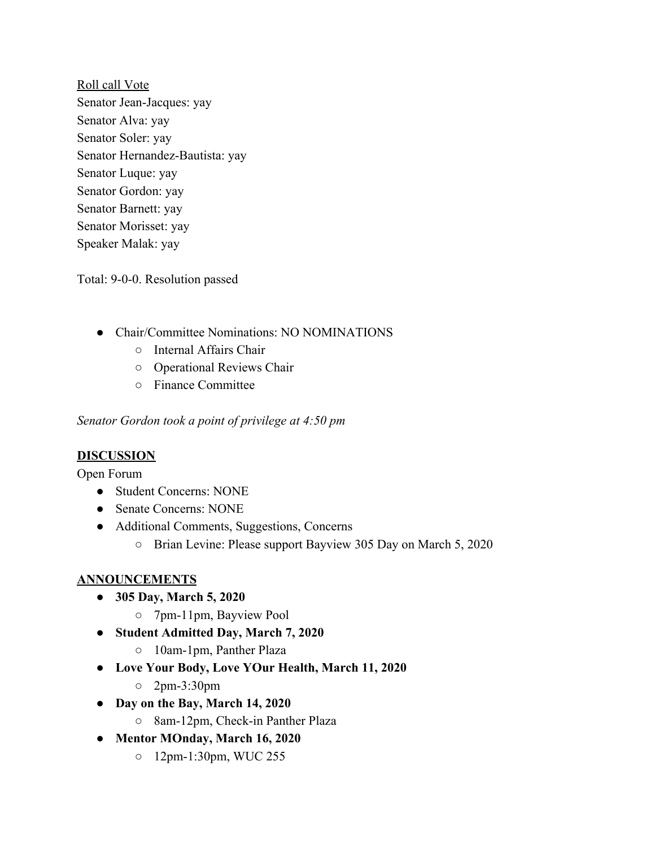Roll call Vote Senator Jean-Jacques: yay Senator Alva: yay Senator Soler: yay Senator Hernandez-Bautista: yay Senator Luque: yay Senator Gordon: yay Senator Barnett: yay Senator Morisset: yay Speaker Malak: yay

Total: 9-0-0. Resolution passed

- Chair/Committee Nominations: NO NOMINATIONS
	- Internal Affairs Chair
	- Operational Reviews Chair
	- Finance Committee

*Senator Gordon took a point of privilege at 4:50 pm*

#### **DISCUSSION**

Open Forum

- Student Concerns: NONE
- Senate Concerns: NONE
- Additional Comments, Suggestions, Concerns
	- Brian Levine: Please support Bayview 305 Day on March 5, 2020

#### **ANNOUNCEMENTS**

- **● 305 Day, March 5, 2020**
	- **○** 7pm-11pm, Bayview Pool
- **● Student Admitted Day, March 7, 2020**
	- **○** 10am-1pm, Panther Plaza
- **● Love Your Body, Love YOur Health, March 11, 2020**
	- **○** 2pm-3:30pm
- **● Day on the Bay, March 14, 2020**
	- **○** 8am-12pm, Check-in Panther Plaza
- **● Mentor MOnday, March 16, 2020**
	- **○** 12pm-1:30pm, WUC 255